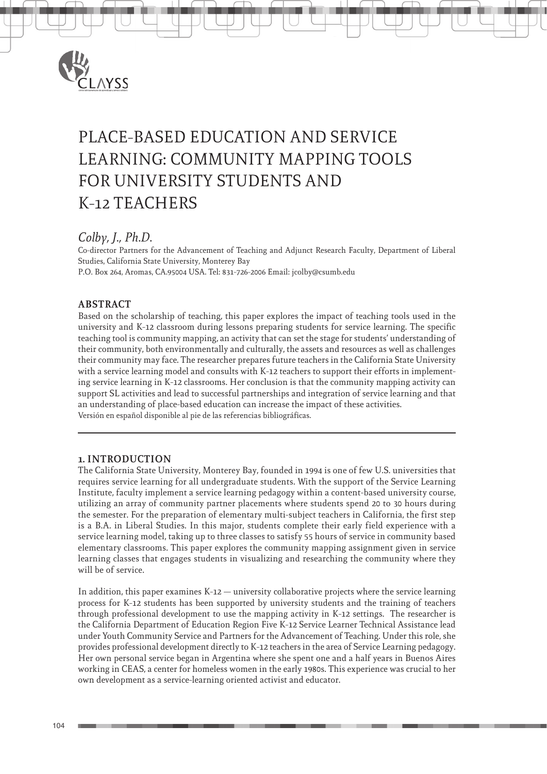

# PLACE-BASED EDUCATION AND SERVICE LEARNING: COMMUNITY MAPPING TOOLS FOR UNIVERSITY STUDENTS AND K-12 TEACHERS

## *Colby, J., Ph.D.*

Co-director Partners for the Advancement of Teaching and Adjunct Research Faculty, Department of Liberal Studies, California State University, Monterey Bay P.O. Box 264, Aromas, CA.95004 USA. Tel: 831-726-2006 Email: jcolby@csumb.edu

## **ABSTRACT**

Based on the scholarship of teaching, this paper explores the impact of teaching tools used in the university and K-12 classroom during lessons preparing students for service learning. The specific teaching tool is community mapping, an activity that can set the stage for students' understanding of their community, both environmentally and culturally, the assets and resources as well as challenges their community may face. The researcher prepares future teachers in the California State University with a service learning model and consults with K-12 teachers to support their efforts in implementing service learning in K-12 classrooms. Her conclusion is that the community mapping activity can support SL activities and lead to successful partnerships and integration of service learning and that an understanding of place-based education can increase the impact of these activities. Versión en español disponible al pie de las referencias bibliográficas.

## **1. INTRODUCTION**

The California State University, Monterey Bay, founded in 1994 is one of few U.S. universities that requires service learning for all undergraduate students. With the support of the Service Learning Institute, faculty implement a service learning pedagogy within a content-based university course, utilizing an array of community partner placements where students spend 20 to 30 hours during the semester. For the preparation of elementary multi-subject teachers in California, the first step is a B.A. in Liberal Studies. In this major, students complete their early field experience with a service learning model, taking up to three classes to satisfy 55 hours of service in community based elementary classrooms. This paper explores the community mapping assignment given in service learning classes that engages students in visualizing and researching the community where they will be of service.

In addition, this paper examines  $K-12$  — university collaborative projects where the service learning process for K-12 students has been supported by university students and the training of teachers through professional development to use the mapping activity in K-12 settings. The researcher is the California Department of Education Region Five K-12 Service Learner Technical Assistance lead under Youth Community Service and Partners for the Advancement of Teaching. Under this role, she provides professional development directly to K-12 teachers in the area of Service Learning pedagogy. Her own personal service began in Argentina where she spent one and a half years in Buenos Aires working in CEAS, a center for homeless women in the early 1980s. This experience was crucial to her own development as a service-learning oriented activist and educator.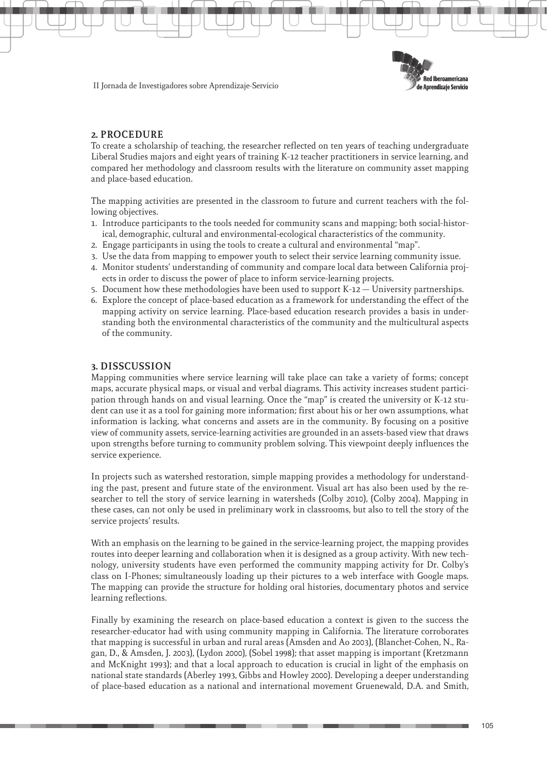

II Jornada de Investigadores sobre Aprendizaje-Servicio

### **2. PROCEDURE**

To create a scholarship of teaching, the researcher reflected on ten years of teaching undergraduate Liberal Studies majors and eight years of training K-12 teacher practitioners in service learning, and compared her methodology and classroom results with the literature on community asset mapping and place-based education.

The mapping activities are presented in the classroom to future and current teachers with the following objectives.

- 1. Introduce participants to the tools needed for community scans and mapping; both social-historical, demographic, cultural and environmental-ecological characteristics of the community.
- 2. Engage participants in using the tools to create a cultural and environmental "map".
- 3. Use the data from mapping to empower youth to select their service learning community issue.
- 4. Monitor students' understanding of community and compare local data between California projects in order to discuss the power of place to inform service-learning projects.
- 5. Document how these methodologies have been used to support K-12 University partnerships.
- 6. Explore the concept of place-based education as a framework for understanding the effect of the mapping activity on service learning. Place-based education research provides a basis in understanding both the environmental characteristics of the community and the multicultural aspects of the community.

#### **3. DISSCUSSION**

Mapping communities where service learning will take place can take a variety of forms; concept maps, accurate physical maps, or visual and verbal diagrams. This activity increases student participation through hands on and visual learning. Once the "map" is created the university or K-12 student can use it as a tool for gaining more information; first about his or her own assumptions, what information is lacking, what concerns and assets are in the community. By focusing on a positive view of community assets, service-learning activities are grounded in an assets-based view that draws upon strengths before turning to community problem solving. This viewpoint deeply influences the service experience.

In projects such as watershed restoration, simple mapping provides a methodology for understanding the past, present and future state of the environment. Visual art has also been used by the researcher to tell the story of service learning in watersheds (Colby 2010), (Colby 2004). Mapping in these cases, can not only be used in preliminary work in classrooms, but also to tell the story of the service projects' results.

With an emphasis on the learning to be gained in the service-learning project, the mapping provides routes into deeper learning and collaboration when it is designed as a group activity. With new technology, university students have even performed the community mapping activity for Dr. Colby's class on I-Phones; simultaneously loading up their pictures to a web interface with Google maps. The mapping can provide the structure for holding oral histories, documentary photos and service learning reflections.

Finally by examining the research on place-based education a context is given to the success the researcher-educator had with using community mapping in California. The literature corroborates that mapping is successful in urban and rural areas (Amsden and Ao 2003), (Blanchet-Cohen, N., Ragan, D., & Amsden, J. 2003), (Lydon 2000), (Sobel 1998); that asset mapping is important (Kretzmann and McKnight 1993); and that a local approach to education is crucial in light of the emphasis on national state standards (Aberley 1993, Gibbs and Howley 2000). Developing a deeper understanding of place-based education as a national and international movement Gruenewald, D.A. and Smith,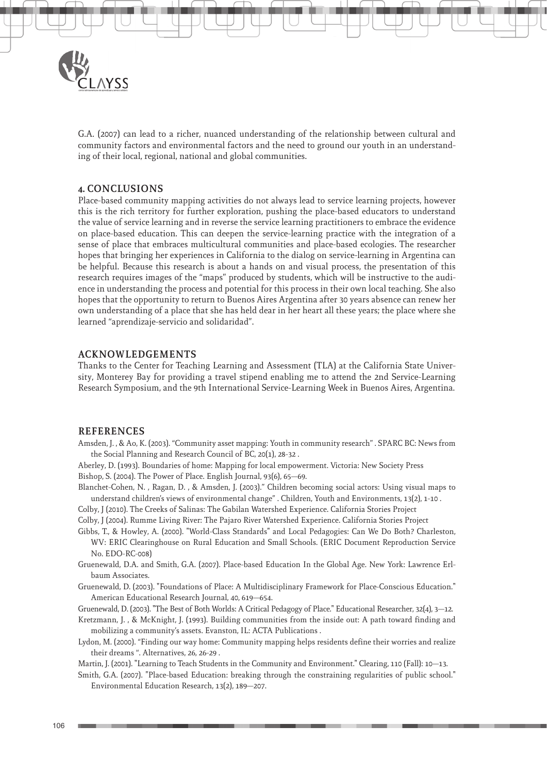

G.A. (2007) can lead to a richer, nuanced understanding of the relationship between cultural and community factors and environmental factors and the need to ground our youth in an understanding of their local, regional, national and global communities.

#### **4. CONCLUSIONS**

Place-based community mapping activities do not always lead to service learning projects, however this is the rich territory for further exploration, pushing the place-based educators to understand the value of service learning and in reverse the service learning practitioners to embrace the evidence on place-based education. This can deepen the service-learning practice with the integration of a sense of place that embraces multicultural communities and place-based ecologies. The researcher hopes that bringing her experiences in California to the dialog on service-learning in Argentina can be helpful. Because this research is about a hands on and visual process, the presentation of this research requires images of the "maps" produced by students, which will be instructive to the audience in understanding the process and potential for this process in their own local teaching. She also hopes that the opportunity to return to Buenos Aires Argentina after 30 years absence can renew her own understanding of a place that she has held dear in her heart all these years; the place where she learned "aprendizaje-servicio and solidaridad".

#### **ACKNOWLEDGEMENTS**

Thanks to the Center for Teaching Learning and Assessment (TLA) at the California State University, Monterey Bay for providing a travel stipend enabling me to attend the 2nd Service-Learning Research Symposium, and the 9th International Service-Learning Week in Buenos Aires, Argentina.

#### **REFERENCES**

Amsden, J. , & Ao, K. (2003). "Community asset mapping: Youth in community research" . SPARC BC: News from the Social Planning and Research Council of BC, 20(1), 28-32 .

Aberley, D. (1993). Boundaries of home: Mapping for local empowerment. Victoria: New Society Press Bishop, S. (2004). The Power of Place. English Journal, 93(6), 65–69.

Blanchet-Cohen, N. , Ragan, D. , & Amsden, J. (2003)." Children becoming social actors: Using visual maps to understand children's views of environmental change" . Children, Youth and Environments, 13(2), 1-10 .

Colby, J (2010). The Creeks of Salinas: The Gabilan Watershed Experience. California Stories Project

Colby, J (2004). Rumme Living River: The Pajaro River Watershed Experience. California Stories Project

- Gibbs, T., & Howley, A. (2000). "World-Class Standards" and Local Pedagogies: Can We Do Both? Charleston, WV: ERIC Clearinghouse on Rural Education and Small Schools. (ERIC Document Reproduction Service No. EDO-RC-008)
- Gruenewald, D.A. and Smith, G.A. (2007). Place-based Education In the Global Age. New York: Lawrence Erlbaum Associates.
- Gruenewald, D. (2003). "Foundations of Place: A Multidisciplinary Framework for Place-Conscious Education." American Educational Research Journal, 40, 619–654.

Gruenewald, D. (2003). "The Best of Both Worlds: A Critical Pedagogy of Place." Educational Researcher, 32(4), 3–12.

Kretzmann, J., & McKnight, J. (1993). Building communities from the inside out: A path toward finding and mobilizing a community's assets. Evanston, IL: ACTA Publications .

Lydon, M. (2000). "Finding our way home: Community mapping helps residents define their worries and realize their dreams ". Alternatives, 26, 26-29 .

Martin, J. (2001). "Learning to Teach Students in the Community and Environment." Clearing, 110 (Fall): 10–13.

Smith, G.A. (2007). "Place-based Education: breaking through the constraining regularities of public school." Environmental Education Research, 13(2), 189–207.